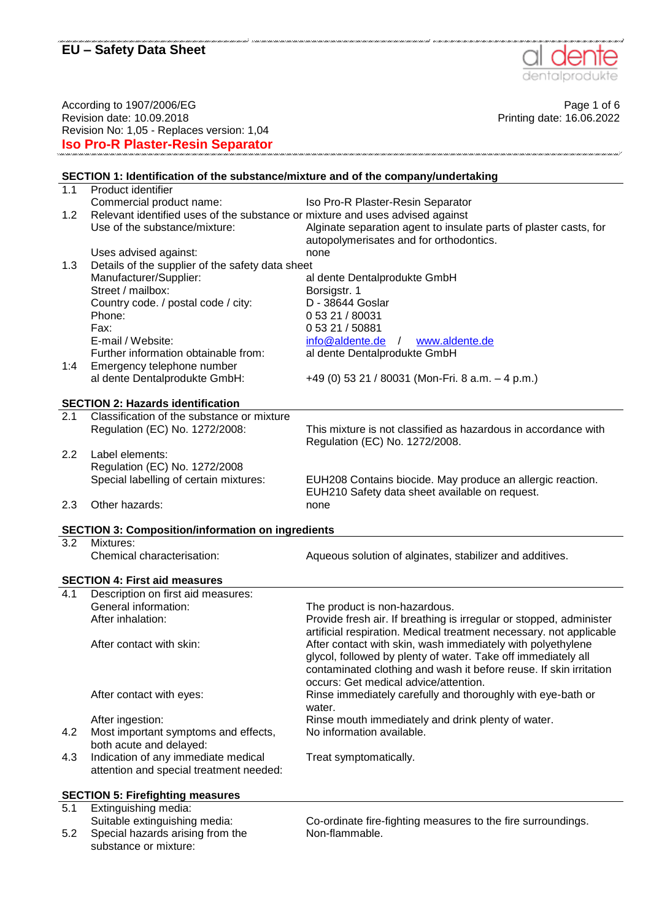

According to 1907/2006/EG Page 1 of 6 Revision date: 10.09.2018 Printing date: 16.06.2022 Revision No: 1,05 - Replaces version: 1,04 **Iso Pro-R Plaster-Resin Separator**

#### **SECTION 1: Identification of the substance/mixture and of the company/undertaking** 1.1 Product identifier Commercial product name: Iso Pro-R Plaster-Resin Separator 1.2 Relevant identified uses of the substance or mixture and uses advised against Use of the substance/mixture: Alginate separation agent to insulate parts of plaster casts, for autopolymerisates and for orthodontics. Uses advised against: none 1.3 Details of the supplier of the safety data sheet Manufacturer/Supplier: al dente Dentalprodukte GmbH Street / mailbox: Borsigstr. 1 Country code. / postal code / city: D - 38644 Goslar Phone: 0 53 21 / 80031 Fax: E-mail / Website: 0 53 21 / 50881 [info@aldente.de](mailto:info@aldente.de) / [www.aldente.de](http://www.aldente.de/) Further information obtainable from: al dente Dentalprodukte GmbH 1:4 Emergency telephone number al dente Dentalprodukte GmbH: +49 (0) 53 21 / 80031 (Mon-Fri. 8 a.m. – 4 p.m.) **SECTION 2: Hazards identification** 2.1 Classification of the substance or mixture Regulation (EC) No. 1272/2008: This mixture is not classified as hazardous in accordance with Regulation (EC) No. 1272/2008. 2.2 Label elements: Regulation (EC) No. 1272/2008<br>Special labelling of certain mixtures: EUH208 Contains biocide. May produce an allergic reaction. EUH210 Safety data sheet available on request. 2.3 Other hazards: none **SECTION 3: Composition/information on ingredients** 3.2 Mixtures: Chemical characterisation: Aqueous solution of alginates, stabilizer and additives. **SECTION 4: First aid measures** 4.1 Description on first aid measures:<br>General information: The product is non-hazardous. After inhalation: Provide fresh air. If breathing is irregular or stopped, administer artificial respiration. Medical treatment necessary. not applicable After contact with skin: After contact with skin, wash immediately with polyethylene glycol, followed by plenty of water. Take off immediately all contaminated clothing and wash it before reuse. If skin irritation occurs: Get medical advice/attention. After contact with eyes: Rinse immediately carefully and thoroughly with eye-bath or water After ingestion: **Rinse mouth immediately and drink plenty of water.** 4.2 Most important symptoms and effects, both acute and delayed: No information available. 4.3 Indication of any immediate medical attention and special treatment needed: Treat symptomatically. **SECTION 5: Firefighting measures**

5.1 Extinguishing media: Suitable extinguishing media: Co-ordinate fire-fighting measures to the fire surroundings. 5.2 Special hazards arising from the substance or mixture: Non-flammable.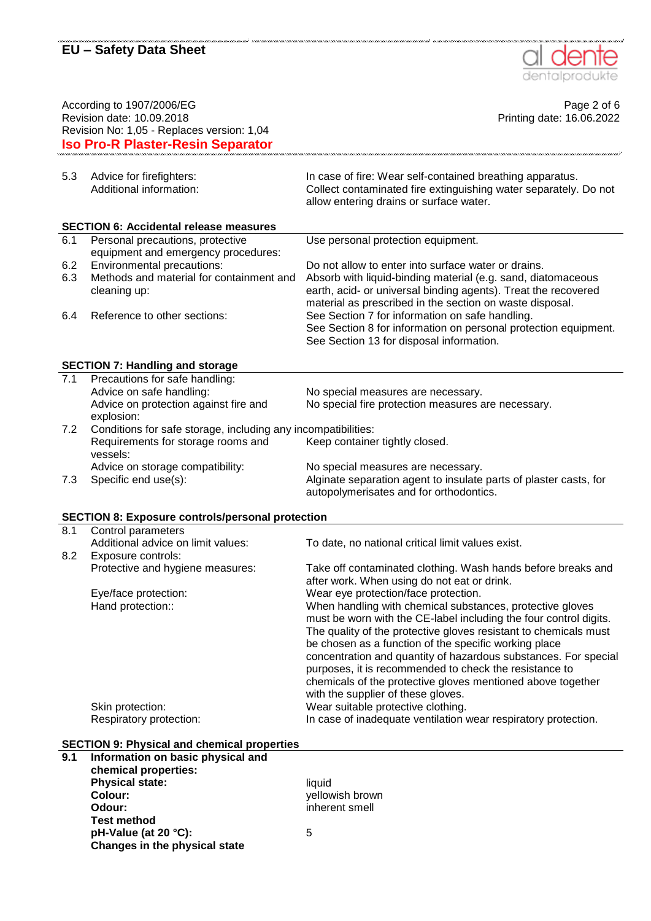

.<br>A contra no contra no contra no contra no contra no contra no contra

| According to 1907/2006/EG<br>Revision date: 10.09.2018<br>Revision No: 1,05 - Replaces version: 1,04<br><b>Iso Pro-R Plaster-Resin Separator</b> |                                                               | Page 2 of 6<br>Printing date: 16.06.2022                                                                                                                                                                                                                                                     |
|--------------------------------------------------------------------------------------------------------------------------------------------------|---------------------------------------------------------------|----------------------------------------------------------------------------------------------------------------------------------------------------------------------------------------------------------------------------------------------------------------------------------------------|
|                                                                                                                                                  |                                                               |                                                                                                                                                                                                                                                                                              |
| 5.3<br>Advice for firefighters:<br>Additional information:                                                                                       |                                                               | In case of fire: Wear self-contained breathing apparatus.<br>Collect contaminated fire extinguishing water separately. Do not<br>allow entering drains or surface water.                                                                                                                     |
|                                                                                                                                                  | <b>SECTION 6: Accidental release measures</b>                 |                                                                                                                                                                                                                                                                                              |
| 6.1                                                                                                                                              | Personal precautions, protective                              | Use personal protection equipment.                                                                                                                                                                                                                                                           |
|                                                                                                                                                  | equipment and emergency procedures:                           |                                                                                                                                                                                                                                                                                              |
| Environmental precautions:<br>6.2                                                                                                                |                                                               | Do not allow to enter into surface water or drains.                                                                                                                                                                                                                                          |
| 6.3                                                                                                                                              | Methods and material for containment and                      | Absorb with liquid-binding material (e.g. sand, diatomaceous                                                                                                                                                                                                                                 |
| cleaning up:<br>Reference to other sections:<br>6.4                                                                                              |                                                               | earth, acid- or universal binding agents). Treat the recovered<br>material as prescribed in the section on waste disposal.<br>See Section 7 for information on safe handling.<br>See Section 8 for information on personal protection equipment.<br>See Section 13 for disposal information. |
| <b>SECTION 7: Handling and storage</b>                                                                                                           |                                                               |                                                                                                                                                                                                                                                                                              |
| $\overline{7.1}$<br>Precautions for safe handling:                                                                                               |                                                               |                                                                                                                                                                                                                                                                                              |
| Advice on safe handling:                                                                                                                         |                                                               | No special measures are necessary.                                                                                                                                                                                                                                                           |
|                                                                                                                                                  | Advice on protection against fire and                         | No special fire protection measures are necessary.                                                                                                                                                                                                                                           |
| explosion:                                                                                                                                       |                                                               |                                                                                                                                                                                                                                                                                              |
| 7.2                                                                                                                                              | Conditions for safe storage, including any incompatibilities: |                                                                                                                                                                                                                                                                                              |
| vessels:                                                                                                                                         | Requirements for storage rooms and                            | Keep container tightly closed.                                                                                                                                                                                                                                                               |
|                                                                                                                                                  | Advice on storage compatibility:                              | No special measures are necessary.                                                                                                                                                                                                                                                           |
| 7.3<br>Specific end use(s):                                                                                                                      |                                                               | Alginate separation agent to insulate parts of plaster casts, for<br>autopolymerisates and for orthodontics.                                                                                                                                                                                 |
| <b>SECTION 8: Exposure controls/personal protection</b>                                                                                          |                                                               |                                                                                                                                                                                                                                                                                              |
|                                                                                                                                                  |                                                               |                                                                                                                                                                                                                                                                                              |
|                                                                                                                                                  |                                                               |                                                                                                                                                                                                                                                                                              |
| 8.1<br>Control parameters                                                                                                                        |                                                               |                                                                                                                                                                                                                                                                                              |
| 8.2                                                                                                                                              | Additional advice on limit values:                            | To date, no national critical limit values exist.                                                                                                                                                                                                                                            |
| Exposure controls:                                                                                                                               | Protective and hygiene measures:                              | Take off contaminated clothing. Wash hands before breaks and                                                                                                                                                                                                                                 |
|                                                                                                                                                  |                                                               | after work. When using do not eat or drink.                                                                                                                                                                                                                                                  |
| Eye/face protection:                                                                                                                             |                                                               | Wear eye protection/face protection.                                                                                                                                                                                                                                                         |
| Hand protection::                                                                                                                                |                                                               | When handling with chemical substances, protective gloves                                                                                                                                                                                                                                    |
|                                                                                                                                                  |                                                               | must be worn with the CE-label including the four control digits.                                                                                                                                                                                                                            |
|                                                                                                                                                  |                                                               | The quality of the protective gloves resistant to chemicals must                                                                                                                                                                                                                             |
|                                                                                                                                                  |                                                               | be chosen as a function of the specific working place                                                                                                                                                                                                                                        |
|                                                                                                                                                  |                                                               | concentration and quantity of hazardous substances. For special                                                                                                                                                                                                                              |
|                                                                                                                                                  |                                                               | purposes, it is recommended to check the resistance to                                                                                                                                                                                                                                       |
|                                                                                                                                                  |                                                               | chemicals of the protective gloves mentioned above together                                                                                                                                                                                                                                  |
|                                                                                                                                                  |                                                               | with the supplier of these gloves.                                                                                                                                                                                                                                                           |
| Skin protection:                                                                                                                                 |                                                               | Wear suitable protective clothing.                                                                                                                                                                                                                                                           |
| Respiratory protection:                                                                                                                          |                                                               | In case of inadequate ventilation wear respiratory protection.                                                                                                                                                                                                                               |
|                                                                                                                                                  | <b>SECTION 9: Physical and chemical properties</b>            |                                                                                                                                                                                                                                                                                              |
| 9.1                                                                                                                                              | Information on basic physical and                             |                                                                                                                                                                                                                                                                                              |
| chemical properties:                                                                                                                             |                                                               |                                                                                                                                                                                                                                                                                              |
| <b>Physical state:</b>                                                                                                                           |                                                               | liquid                                                                                                                                                                                                                                                                                       |
| <b>Colour:</b>                                                                                                                                   |                                                               | yellowish brown                                                                                                                                                                                                                                                                              |
| Odour:                                                                                                                                           |                                                               | inherent smell                                                                                                                                                                                                                                                                               |
| <b>Test method</b><br>pH-Value (at 20 °C):                                                                                                       |                                                               | 5                                                                                                                                                                                                                                                                                            |

.<br>1997 - John J. John J. John J. John J. John J. John J. John J. John J. John J. John J. John J.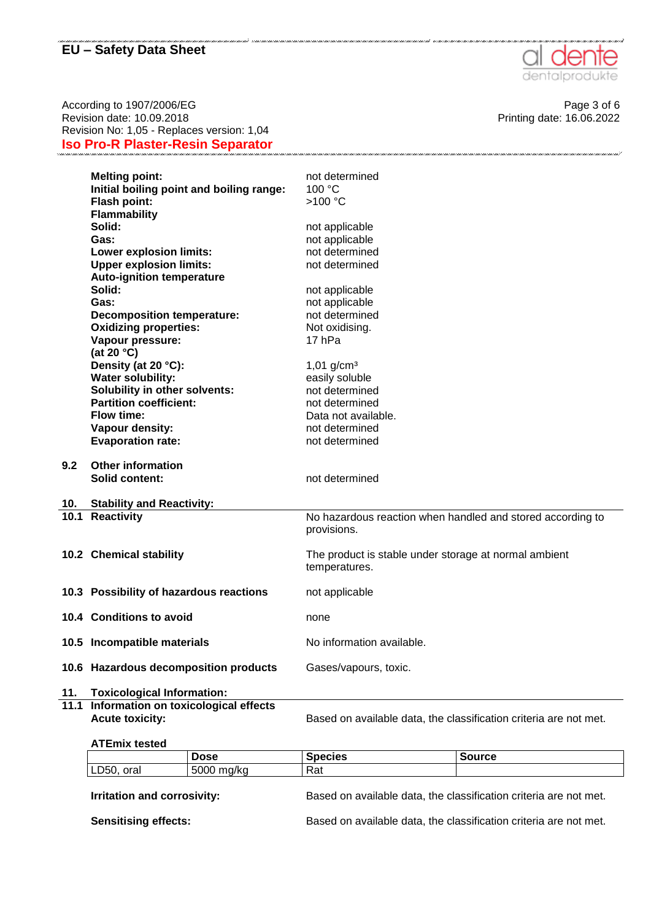

According to 1907/2006/EG Page 3 of 6<br>Revision date: 10.09.2018 Printing date: 10.09.2018 Revision date:  $10.09.2018$ Revision No: 1,05 - Replaces version: 1,04 **Iso Pro-R Plaster-Resin Separator**

|     | <b>Melting point:</b>                    | not determined                                                            |
|-----|------------------------------------------|---------------------------------------------------------------------------|
|     | Initial boiling point and boiling range: | 100 °C                                                                    |
|     | Flash point:                             | >100 °C                                                                   |
|     | Flammability                             |                                                                           |
|     | Solid:                                   | not applicable                                                            |
|     | Gas:                                     | not applicable                                                            |
|     | <b>Lower explosion limits:</b>           | not determined                                                            |
|     | <b>Upper explosion limits:</b>           | not determined                                                            |
|     | <b>Auto-ignition temperature</b>         |                                                                           |
|     | Solid:                                   | not applicable                                                            |
|     | Gas:                                     | not applicable                                                            |
|     | <b>Decomposition temperature:</b>        | not determined                                                            |
|     | <b>Oxidizing properties:</b>             | Not oxidising.                                                            |
|     | Vapour pressure:                         | 17 hPa                                                                    |
|     | (at 20 $°C$ )                            |                                                                           |
|     | Density (at 20 °C):                      | $1,01$ g/cm <sup>3</sup>                                                  |
|     | <b>Water solubility:</b>                 | easily soluble                                                            |
|     | Solubility in other solvents:            | not determined                                                            |
|     | <b>Partition coefficient:</b>            | not determined                                                            |
|     | Flow time:                               | Data not available.                                                       |
|     | Vapour density:                          | not determined                                                            |
|     | <b>Evaporation rate:</b>                 | not determined                                                            |
| 9.2 | <b>Other information</b>                 |                                                                           |
|     | <b>Solid content:</b>                    | not determined                                                            |
|     |                                          |                                                                           |
| 10. | <b>Stability and Reactivity:</b>         |                                                                           |
|     | 10.1 Reactivity                          | No hazardous reaction when handled and stored according to<br>provisions. |
|     | 10.2 Chemical stability                  | The product is stable under storage at normal ambient<br>temperatures.    |
|     | 10.3 Possibility of hazardous reactions  | not applicable                                                            |
|     | 10.4 Conditions to avoid                 | none                                                                      |
|     | 10.5 Incompatible materials              | No information available.                                                 |
|     | 10.6 Hazardous decomposition products    | Gases/vapours, toxic.                                                     |
| 11. | <b>Toxicological Information:</b>        |                                                                           |

**11.1 Information on toxicological effects**

Acute toxicity: **Based on available data, the classification criteria are not met.** 

#### **ATEmix tested**

|                                    | <b>Dose</b> | <b>Species</b> | <b>Source</b>                                                     |
|------------------------------------|-------------|----------------|-------------------------------------------------------------------|
| LD50, oral                         | 5000 mg/kg  | Rat            |                                                                   |
| <b>Irritation and corrosivity:</b> |             |                | Based on available data, the classification criteria are not met. |
| <b>Sensitising effects:</b>        |             |                | Based on available data, the classification criteria are not met. |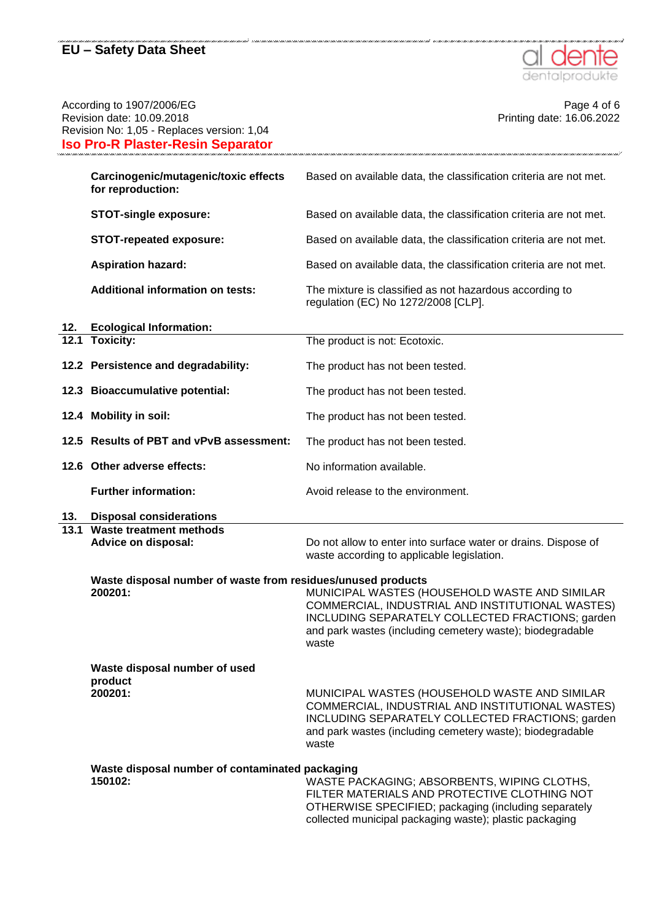

| According to 1907/2006/EG<br>Revision date: 10.09.2018<br>Revision No: 1,05 - Replaces version: 1,04<br><b>Iso Pro-R Plaster-Resin Separator</b> |                                                                         | Page 4 of 6<br>Printing date: 16.06.2022                                                                                                                                                                                    |
|--------------------------------------------------------------------------------------------------------------------------------------------------|-------------------------------------------------------------------------|-----------------------------------------------------------------------------------------------------------------------------------------------------------------------------------------------------------------------------|
|                                                                                                                                                  | Carcinogenic/mutagenic/toxic effects<br>for reproduction:               | Based on available data, the classification criteria are not met.                                                                                                                                                           |
|                                                                                                                                                  | <b>STOT-single exposure:</b>                                            | Based on available data, the classification criteria are not met.                                                                                                                                                           |
|                                                                                                                                                  | <b>STOT-repeated exposure:</b>                                          | Based on available data, the classification criteria are not met.                                                                                                                                                           |
|                                                                                                                                                  | <b>Aspiration hazard:</b>                                               | Based on available data, the classification criteria are not met.                                                                                                                                                           |
|                                                                                                                                                  | <b>Additional information on tests:</b>                                 | The mixture is classified as not hazardous according to<br>regulation (EC) No 1272/2008 [CLP].                                                                                                                              |
| 12.                                                                                                                                              | <b>Ecological Information:</b>                                          |                                                                                                                                                                                                                             |
|                                                                                                                                                  | 12.1 Toxicity:                                                          | The product is not: Ecotoxic.                                                                                                                                                                                               |
|                                                                                                                                                  | 12.2 Persistence and degradability:                                     | The product has not been tested.                                                                                                                                                                                            |
|                                                                                                                                                  | 12.3 Bioaccumulative potential:                                         | The product has not been tested.                                                                                                                                                                                            |
|                                                                                                                                                  | 12.4 Mobility in soil:                                                  | The product has not been tested.                                                                                                                                                                                            |
|                                                                                                                                                  | 12.5 Results of PBT and vPvB assessment:                                | The product has not been tested.                                                                                                                                                                                            |
|                                                                                                                                                  | 12.6 Other adverse effects:                                             | No information available.                                                                                                                                                                                                   |
|                                                                                                                                                  | <b>Further information:</b>                                             | Avoid release to the environment.                                                                                                                                                                                           |
| 13.                                                                                                                                              | <b>Disposal considerations</b>                                          |                                                                                                                                                                                                                             |
|                                                                                                                                                  | 13.1 Waste treatment methods<br>Advice on disposal:                     | Do not allow to enter into surface water or drains. Dispose of<br>waste according to applicable legislation.                                                                                                                |
|                                                                                                                                                  | Waste disposal number of waste from residues/unused products<br>200201: | MUNICIPAL WASTES (HOUSEHOLD WASTE AND SIMILAR<br>COMMERCIAL, INDUSTRIAL AND INSTITUTIONAL WASTES)<br>INCLUDING SEPARATELY COLLECTED FRACTIONS; garden<br>and park wastes (including cemetery waste); biodegradable<br>waste |
|                                                                                                                                                  | Waste disposal number of used<br>product<br>200201:                     | MUNICIPAL WASTES (HOUSEHOLD WASTE AND SIMILAR<br>COMMERCIAL, INDUSTRIAL AND INSTITUTIONAL WASTES)<br>INCLUDING SEPARATELY COLLECTED FRACTIONS; garden<br>and park wastes (including cemetery waste); biodegradable<br>waste |
|                                                                                                                                                  | Waste disposal number of contaminated packaging<br>150102:              | WASTE PACKAGING; ABSORBENTS, WIPING CLOTHS,<br>FILTER MATERIALS AND PROTECTIVE CLOTHING NOT<br>OTHERWISE SPECIFIED; packaging (including separately<br>collected municipal packaging waste); plastic packaging              |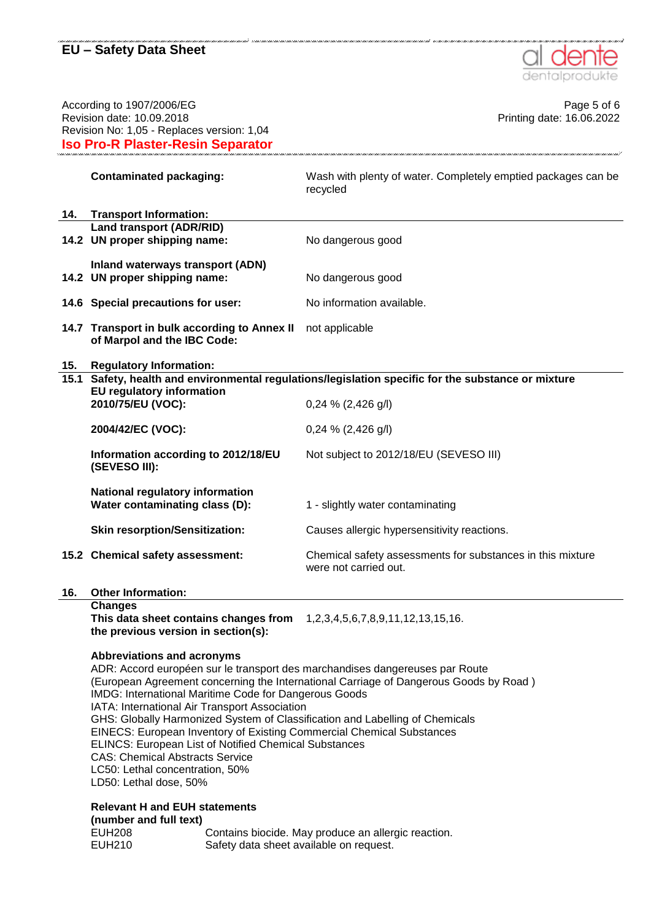

| According to 1907/2006/EG<br>Revision date: 10.09.2018<br>Revision No: 1,05 - Replaces version: 1,04<br><b>Iso Pro-R Plaster-Resin Separator</b> |                                                                                                                                                                                                                                                                                                                                                                                                                                                                                                                                                                                                                                               | Page 5 of 6<br>Printing date: 16.06.2022                                                            |  |
|--------------------------------------------------------------------------------------------------------------------------------------------------|-----------------------------------------------------------------------------------------------------------------------------------------------------------------------------------------------------------------------------------------------------------------------------------------------------------------------------------------------------------------------------------------------------------------------------------------------------------------------------------------------------------------------------------------------------------------------------------------------------------------------------------------------|-----------------------------------------------------------------------------------------------------|--|
|                                                                                                                                                  | <b>Contaminated packaging:</b>                                                                                                                                                                                                                                                                                                                                                                                                                                                                                                                                                                                                                | Wash with plenty of water. Completely emptied packages can be<br>recycled                           |  |
| 14.                                                                                                                                              | <b>Transport Information:</b>                                                                                                                                                                                                                                                                                                                                                                                                                                                                                                                                                                                                                 |                                                                                                     |  |
|                                                                                                                                                  | <b>Land transport (ADR/RID)</b>                                                                                                                                                                                                                                                                                                                                                                                                                                                                                                                                                                                                               |                                                                                                     |  |
|                                                                                                                                                  | 14.2 UN proper shipping name:                                                                                                                                                                                                                                                                                                                                                                                                                                                                                                                                                                                                                 | No dangerous good                                                                                   |  |
|                                                                                                                                                  | Inland waterways transport (ADN)<br>14.2 UN proper shipping name:                                                                                                                                                                                                                                                                                                                                                                                                                                                                                                                                                                             | No dangerous good                                                                                   |  |
|                                                                                                                                                  | 14.6 Special precautions for user:                                                                                                                                                                                                                                                                                                                                                                                                                                                                                                                                                                                                            | No information available.                                                                           |  |
|                                                                                                                                                  | 14.7 Transport in bulk according to Annex II not applicable<br>of Marpol and the IBC Code:                                                                                                                                                                                                                                                                                                                                                                                                                                                                                                                                                    |                                                                                                     |  |
| 15.                                                                                                                                              | <b>Regulatory Information:</b>                                                                                                                                                                                                                                                                                                                                                                                                                                                                                                                                                                                                                |                                                                                                     |  |
|                                                                                                                                                  |                                                                                                                                                                                                                                                                                                                                                                                                                                                                                                                                                                                                                                               | 15.1 Safety, health and environmental regulations/legislation specific for the substance or mixture |  |
|                                                                                                                                                  | <b>EU regulatory information</b><br>2010/75/EU (VOC):                                                                                                                                                                                                                                                                                                                                                                                                                                                                                                                                                                                         | $0,24\%$ (2,426 g/l)                                                                                |  |
|                                                                                                                                                  | 2004/42/EC (VOC):                                                                                                                                                                                                                                                                                                                                                                                                                                                                                                                                                                                                                             | $0,24\%$ (2,426 g/l)                                                                                |  |
|                                                                                                                                                  | Information according to 2012/18/EU<br>(SEVESO III):                                                                                                                                                                                                                                                                                                                                                                                                                                                                                                                                                                                          | Not subject to 2012/18/EU (SEVESO III)                                                              |  |
|                                                                                                                                                  | <b>National regulatory information</b><br>Water contaminating class (D):                                                                                                                                                                                                                                                                                                                                                                                                                                                                                                                                                                      | 1 - slightly water contaminating                                                                    |  |
|                                                                                                                                                  | <b>Skin resorption/Sensitization:</b>                                                                                                                                                                                                                                                                                                                                                                                                                                                                                                                                                                                                         | Causes allergic hypersensitivity reactions.                                                         |  |
|                                                                                                                                                  | 15.2 Chemical safety assessment:                                                                                                                                                                                                                                                                                                                                                                                                                                                                                                                                                                                                              | Chemical safety assessments for substances in this mixture<br>were not carried out.                 |  |
| 16.                                                                                                                                              | <b>Other Information:</b>                                                                                                                                                                                                                                                                                                                                                                                                                                                                                                                                                                                                                     |                                                                                                     |  |
|                                                                                                                                                  | <b>Changes</b><br>This data sheet contains changes from<br>the previous version in section(s):                                                                                                                                                                                                                                                                                                                                                                                                                                                                                                                                                | 1, 2, 3, 4, 5, 6, 7, 8, 9, 11, 12, 13, 15, 16.                                                      |  |
|                                                                                                                                                  | <b>Abbreviations and acronyms</b><br>ADR: Accord européen sur le transport des marchandises dangereuses par Route<br>(European Agreement concerning the International Carriage of Dangerous Goods by Road)<br>IMDG: International Maritime Code for Dangerous Goods<br>IATA: International Air Transport Association<br>GHS: Globally Harmonized System of Classification and Labelling of Chemicals<br>EINECS: European Inventory of Existing Commercial Chemical Substances<br>ELINCS: European List of Notified Chemical Substances<br><b>CAS: Chemical Abstracts Service</b><br>LC50: Lethal concentration, 50%<br>LD50: Lethal dose, 50% |                                                                                                     |  |
|                                                                                                                                                  | <b>Relevant H and EUH statements</b><br>(number and full text)<br><b>EUH208</b><br><b>EUH210</b><br>Safety data sheet available on request.                                                                                                                                                                                                                                                                                                                                                                                                                                                                                                   | Contains biocide. May produce an allergic reaction.                                                 |  |